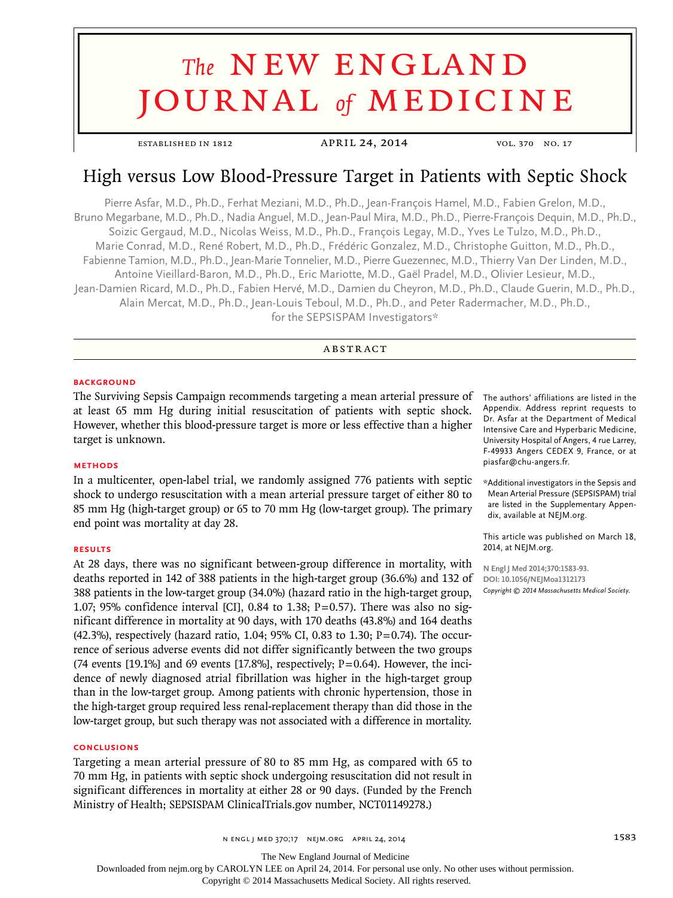# **The NEW ENGLAND** journal *of* medicine

ESTABLISHED IN 1812 **APRIL 24, 2014** vol. 370 No. 17

# High versus Low Blood-Pressure Target in Patients with Septic Shock

Pierre Asfar, M.D., Ph.D., Ferhat Meziani, M.D., Ph.D., Jean-François Hamel, M.D., Fabien Grelon, M.D., Bruno Megarbane, M.D., Ph.D., Nadia Anguel, M.D., Jean-Paul Mira, M.D., Ph.D., Pierre-François Dequin, M.D., Ph.D., Soizic Gergaud, M.D., Nicolas Weiss, M.D., Ph.D., François Legay, M.D., Yves Le Tulzo, M.D., Ph.D., Marie Conrad, M.D., René Robert, M.D., Ph.D., Frédéric Gonzalez, M.D., Christophe Guitton, M.D., Ph.D., Fabienne Tamion, M.D., Ph.D., Jean-Marie Tonnelier, M.D., Pierre Guezennec, M.D., Thierry Van Der Linden, M.D., Antoine Vieillard-Baron, M.D., Ph.D., Eric Mariotte, M.D., Gaël Pradel, M.D., Olivier Lesieur, M.D., Jean-Damien Ricard, M.D., Ph.D., Fabien Hervé, M.D., Damien du Cheyron, M.D., Ph.D., Claude Guerin, M.D., Ph.D., Alain Mercat, M.D., Ph.D., Jean-Louis Teboul, M.D., Ph.D., and Peter Radermacher, M.D., Ph.D., for the SEPSISPAM Investigators\*

# ABSTRACT

#### **BACKGROUND**

The Surviving Sepsis Campaign recommends targeting a mean arterial pressure of at least 65 mm Hg during initial resuscitation of patients with septic shock. However, whether this blood-pressure target is more or less effective than a higher target is unknown.

#### **Methods**

In a multicenter, open-label trial, we randomly assigned 776 patients with septic shock to undergo resuscitation with a mean arterial pressure target of either 80 to 85 mm Hg (high-target group) or 65 to 70 mm Hg (low-target group). The primary end point was mortality at day 28.

#### **Results**

At 28 days, there was no significant between-group difference in mortality, with deaths reported in 142 of 388 patients in the high-target group (36.6%) and 132 of 388 patients in the low-target group (34.0%) (hazard ratio in the high-target group, 1.07; 95% confidence interval [CI], 0.84 to 1.38;  $P=0.57$ ). There was also no significant difference in mortality at 90 days, with 170 deaths (43.8%) and 164 deaths (42.3%), respectively (hazard ratio, 1.04; 95% CI, 0.83 to 1.30; P=0.74). The occurrence of serious adverse events did not differ significantly between the two groups (74 events [19.1%] and 69 events [17.8%], respectively;  $P=0.64$ ). However, the incidence of newly diagnosed atrial fibrillation was higher in the high-target group than in the low-target group. Among patients with chronic hypertension, those in the high-target group required less renal-replacement therapy than did those in the low-target group, but such therapy was not associated with a difference in mortality.

#### **Conclusions**

Targeting a mean arterial pressure of 80 to 85 mm Hg, as compared with 65 to 70 mm Hg, in patients with septic shock undergoing resuscitation did not result in significant differences in mortality at either 28 or 90 days. (Funded by the French Ministry of Health; SEPSISPAM ClinicalTrials.gov number, NCT01149278.)

The authors' affiliations are listed in the Appendix. Address reprint requests to Dr. Asfar at the Department of Medical Intensive Care and Hyperbaric Medicine, University Hospital of Angers, 4 rue Larrey, F-49933 Angers CEDEX 9, France, or at piasfar@chu-angers.fr.

\*Additional investigators in the Sepsis and Mean Arterial Pressure (SEPSISPAM) trial are listed in the Supplementary Appendix, available at NEJM.org.

This article was published on March 18, 2014, at NEJM.org.

**N Engl J Med 2014;370:1583-93. DOI: 10.1056/NEJMoa1312173** *Copyright © 2014 Massachusetts Medical Society.*

n engl j med 370;17 nejm.org april 24, 2014 1583

The New England Journal of Medicine

Downloaded from nejm.org by CAROLYN LEE on April 24, 2014. For personal use only. No other uses without permission.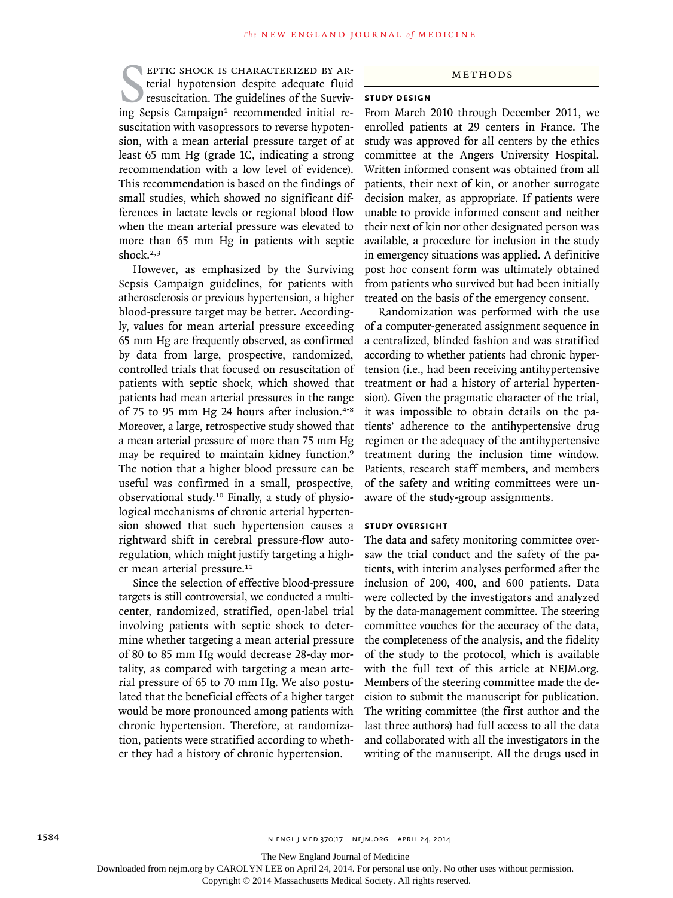EPTIC SHOCK IS CHARACTERIZED BY AR-<br>terial hypotension despite adequate fluid<br>resuscitation. The guidelines of the Surviv-<br>ing Sepsis Campaign<sup>1</sup> recommended initial reeptic shock is characterized by arterial hypotension despite adequate fluid resuscitation. The guidelines of the Survivsuscitation with vasopressors to reverse hypotension, with a mean arterial pressure target of at least 65 mm Hg (grade 1C, indicating a strong recommendation with a low level of evidence). This recommendation is based on the findings of small studies, which showed no significant differences in lactate levels or regional blood flow when the mean arterial pressure was elevated to more than 65 mm Hg in patients with septic shock.<sup>2,3</sup>

However, as emphasized by the Surviving Sepsis Campaign guidelines, for patients with atherosclerosis or previous hypertension, a higher blood-pressure target may be better. Accordingly, values for mean arterial pressure exceeding 65 mm Hg are frequently observed, as confirmed by data from large, prospective, randomized, controlled trials that focused on resuscitation of patients with septic shock, which showed that patients had mean arterial pressures in the range of 75 to 95 mm Hg 24 hours after inclusion.<sup>4-8</sup> Moreover, a large, retrospective study showed that a mean arterial pressure of more than 75 mm Hg may be required to maintain kidney function.<sup>9</sup> The notion that a higher blood pressure can be useful was confirmed in a small, prospective, observational study.10 Finally, a study of physiological mechanisms of chronic arterial hypertension showed that such hypertension causes a rightward shift in cerebral pressure-flow autoregulation, which might justify targeting a higher mean arterial pressure.<sup>11</sup>

Since the selection of effective blood-pressure targets is still controversial, we conducted a multicenter, randomized, stratified, open-label trial involving patients with septic shock to determine whether targeting a mean arterial pressure of 80 to 85 mm Hg would decrease 28-day mortality, as compared with targeting a mean arterial pressure of 65 to 70 mm Hg. We also postulated that the beneficial effects of a higher target would be more pronounced among patients with chronic hypertension. Therefore, at randomization, patients were stratified according to whether they had a history of chronic hypertension.

### Methods

# **Study Design**

From March 2010 through December 2011, we enrolled patients at 29 centers in France. The study was approved for all centers by the ethics committee at the Angers University Hospital. Written informed consent was obtained from all patients, their next of kin, or another surrogate decision maker, as appropriate. If patients were unable to provide informed consent and neither their next of kin nor other designated person was available, a procedure for inclusion in the study in emergency situations was applied. A definitive post hoc consent form was ultimately obtained from patients who survived but had been initially treated on the basis of the emergency consent.

Randomization was performed with the use of a computer-generated assignment sequence in a centralized, blinded fashion and was stratified according to whether patients had chronic hypertension (i.e., had been receiving antihypertensive treatment or had a history of arterial hypertension). Given the pragmatic character of the trial, it was impossible to obtain details on the patients' adherence to the antihypertensive drug regimen or the adequacy of the antihypertensive treatment during the inclusion time window. Patients, research staff members, and members of the safety and writing committees were unaware of the study-group assignments.

# **Study Oversight**

The data and safety monitoring committee oversaw the trial conduct and the safety of the patients, with interim analyses performed after the inclusion of 200, 400, and 600 patients. Data were collected by the investigators and analyzed by the data-management committee. The steering committee vouches for the accuracy of the data, the completeness of the analysis, and the fidelity of the study to the protocol, which is available with the full text of this article at NEJM.org. Members of the steering committee made the decision to submit the manuscript for publication. The writing committee (the first author and the last three authors) had full access to all the data and collaborated with all the investigators in the writing of the manuscript. All the drugs used in

The New England Journal of Medicine

Downloaded from nejm.org by CAROLYN LEE on April 24, 2014. For personal use only. No other uses without permission.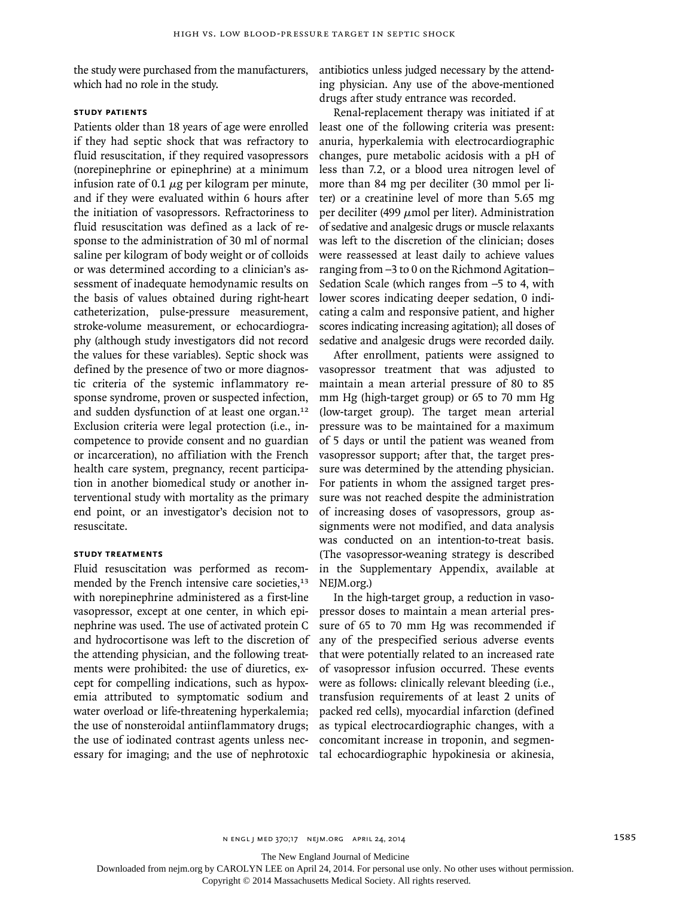the study were purchased from the manufacturers, which had no role in the study.

antibiotics unless judged necessary by the attending physician. Any use of the above-mentioned drugs after study entrance was recorded.

# **Study Patients**

Patients older than 18 years of age were enrolled if they had septic shock that was refractory to fluid resuscitation, if they required vasopressors (norepinephrine or epinephrine) at a minimum infusion rate of 0.1  $\mu$ g per kilogram per minute, and if they were evaluated within 6 hours after the initiation of vasopressors. Refractoriness to fluid resuscitation was defined as a lack of response to the administration of 30 ml of normal saline per kilogram of body weight or of colloids or was determined according to a clinician's assessment of inadequate hemodynamic results on the basis of values obtained during right-heart catheterization, pulse-pressure measurement, stroke-volume measurement, or echocardiography (although study investigators did not record the values for these variables). Septic shock was defined by the presence of two or more diagnostic criteria of the systemic inflammatory response syndrome, proven or suspected infection, and sudden dysfunction of at least one organ.<sup>12</sup> Exclusion criteria were legal protection (i.e., incompetence to provide consent and no guardian or incarceration), no affiliation with the French health care system, pregnancy, recent participation in another biomedical study or another interventional study with mortality as the primary end point, or an investigator's decision not to resuscitate.

## **Study Treatments**

Fluid resuscitation was performed as recommended by the French intensive care societies,<sup>13</sup> with norepinephrine administered as a first-line vasopressor, except at one center, in which epinephrine was used. The use of activated protein C and hydrocortisone was left to the discretion of the attending physician, and the following treatments were prohibited: the use of diuretics, except for compelling indications, such as hypoxemia attributed to symptomatic sodium and water overload or life-threatening hyperkalemia; the use of nonsteroidal antiinflammatory drugs; the use of iodinated contrast agents unless necessary for imaging; and the use of nephrotoxic

Renal-replacement therapy was initiated if at least one of the following criteria was present: anuria, hyperkalemia with electrocardiographic changes, pure metabolic acidosis with a pH of less than 7.2, or a blood urea nitrogen level of more than 84 mg per deciliter (30 mmol per liter) or a creatinine level of more than 5.65 mg per deciliter (499  $\mu$ mol per liter). Administration of sedative and analgesic drugs or muscle relaxants was left to the discretion of the clinician; doses were reassessed at least daily to achieve values ranging from −3 to 0 on the Richmond Agitation– Sedation Scale (which ranges from −5 to 4, with lower scores indicating deeper sedation, 0 indicating a calm and responsive patient, and higher scores indicating increasing agitation); all doses of sedative and analgesic drugs were recorded daily.

After enrollment, patients were assigned to vasopressor treatment that was adjusted to maintain a mean arterial pressure of 80 to 85 mm Hg (high-target group) or 65 to 70 mm Hg (low-target group). The target mean arterial pressure was to be maintained for a maximum of 5 days or until the patient was weaned from vasopressor support; after that, the target pressure was determined by the attending physician. For patients in whom the assigned target pressure was not reached despite the administration of increasing doses of vasopressors, group assignments were not modified, and data analysis was conducted on an intention-to-treat basis. (The vasopressor-weaning strategy is described in the Supplementary Appendix, available at NEJM.org.)

In the high-target group, a reduction in vasopressor doses to maintain a mean arterial pressure of 65 to 70 mm Hg was recommended if any of the prespecified serious adverse events that were potentially related to an increased rate of vasopressor infusion occurred. These events were as follows: clinically relevant bleeding (i.e., transfusion requirements of at least 2 units of packed red cells), myocardial infarction (defined as typical electrocardiographic changes, with a concomitant increase in troponin, and segmental echocardiographic hypokinesia or akinesia,

The New England Journal of Medicine

Downloaded from nejm.org by CAROLYN LEE on April 24, 2014. For personal use only. No other uses without permission.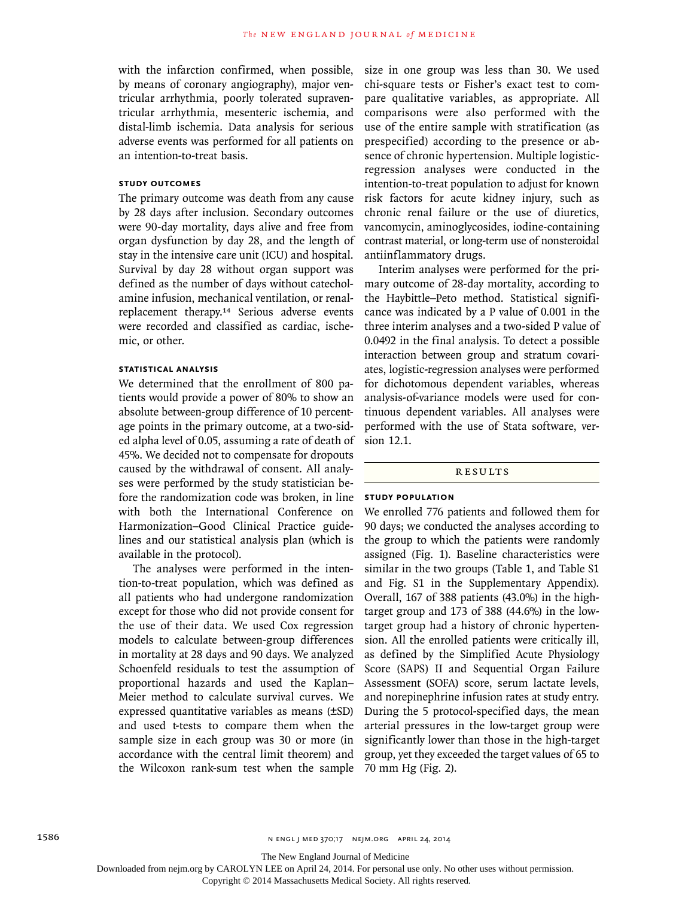with the infarction confirmed, when possible, by means of coronary angiography), major ventricular arrhythmia, poorly tolerated supraventricular arrhythmia, mesenteric ischemia, and distal-limb ischemia. Data analysis for serious adverse events was performed for all patients on an intention-to-treat basis.

# **Study Outcomes**

The primary outcome was death from any cause by 28 days after inclusion. Secondary outcomes were 90-day mortality, days alive and free from organ dysfunction by day 28, and the length of stay in the intensive care unit (ICU) and hospital. Survival by day 28 without organ support was defined as the number of days without catecholamine infusion, mechanical ventilation, or renalreplacement therapy.14 Serious adverse events were recorded and classified as cardiac, ischemic, or other.

# **Statistical Analysis**

We determined that the enrollment of 800 patients would provide a power of 80% to show an absolute between-group difference of 10 percentage points in the primary outcome, at a two-sided alpha level of 0.05, assuming a rate of death of 45%. We decided not to compensate for dropouts caused by the withdrawal of consent. All analyses were performed by the study statistician before the randomization code was broken, in line with both the International Conference on Harmonization–Good Clinical Practice guidelines and our statistical analysis plan (which is available in the protocol).

The analyses were performed in the intention-to-treat population, which was defined as all patients who had undergone randomization except for those who did not provide consent for the use of their data. We used Cox regression models to calculate between-group differences in mortality at 28 days and 90 days. We analyzed Schoenfeld residuals to test the assumption of proportional hazards and used the Kaplan– Meier method to calculate survival curves. We expressed quantitative variables as means (±SD) and used t-tests to compare them when the sample size in each group was 30 or more (in accordance with the central limit theorem) and the Wilcoxon rank-sum test when the sample

size in one group was less than 30. We used chi-square tests or Fisher's exact test to compare qualitative variables, as appropriate. All comparisons were also performed with the use of the entire sample with stratification (as prespecified) according to the presence or absence of chronic hypertension. Multiple logisticregression analyses were conducted in the intention-to-treat population to adjust for known risk factors for acute kidney injury, such as chronic renal failure or the use of diuretics, vancomycin, aminoglycosides, iodine-containing contrast material, or long-term use of nonsteroidal antiinflammatory drugs.

Interim analyses were performed for the primary outcome of 28-day mortality, according to the Haybittle–Peto method. Statistical significance was indicated by a P value of 0.001 in the three interim analyses and a two-sided P value of 0.0492 in the final analysis. To detect a possible interaction between group and stratum covariates, logistic-regression analyses were performed for dichotomous dependent variables, whereas analysis-of-variance models were used for continuous dependent variables. All analyses were performed with the use of Stata software, version 12.1.

# **RESULTS**

#### **Study Population**

We enrolled 776 patients and followed them for 90 days; we conducted the analyses according to the group to which the patients were randomly assigned (Fig. 1). Baseline characteristics were similar in the two groups (Table 1, and Table S1 and Fig. S1 in the Supplementary Appendix). Overall, 167 of 388 patients (43.0%) in the hightarget group and 173 of 388 (44.6%) in the lowtarget group had a history of chronic hypertension. All the enrolled patients were critically ill, as defined by the Simplified Acute Physiology Score (SAPS) II and Sequential Organ Failure Assessment (SOFA) score, serum lactate levels, and norepinephrine infusion rates at study entry. During the 5 protocol-specified days, the mean arterial pressures in the low-target group were significantly lower than those in the high-target group, yet they exceeded the target values of 65 to 70 mm Hg (Fig. 2).

The New England Journal of Medicine

Downloaded from nejm.org by CAROLYN LEE on April 24, 2014. For personal use only. No other uses without permission.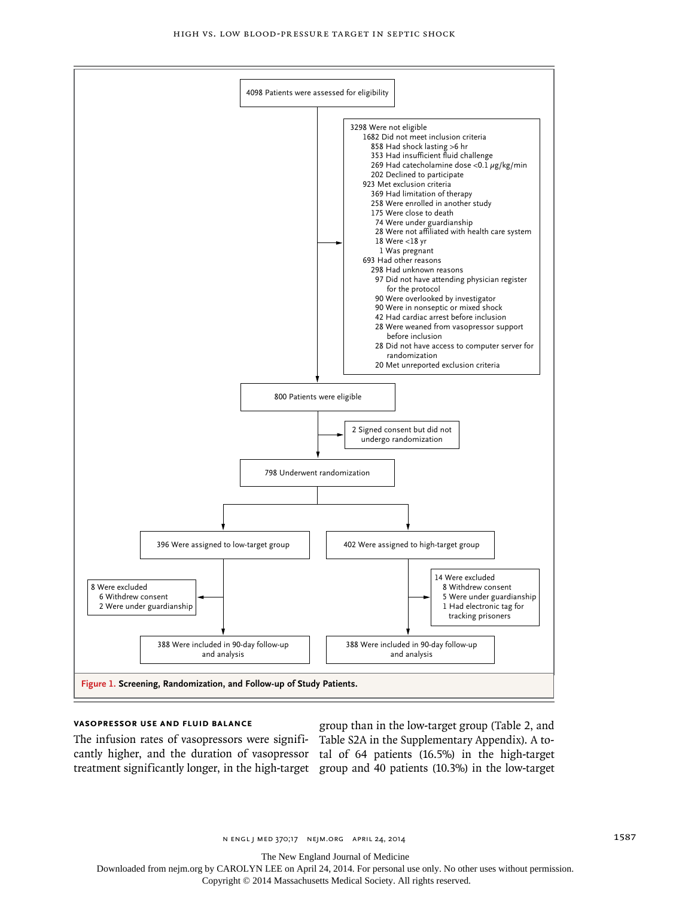

## **Vasopressor Use and Fluid Balance**

The infusion rates of vasopressors were signifi-Table S2A in the Supplementary Appendix). A tocantly higher, and the duration of vasopressor tal of 64 patients (16.5%) in the high-target treatment significantly longer, in the high-target group and 40 patients (10.3%) in the low-target

group than in the low-target group (Table 2, and

n engl j med 370;17 nejm.org april 24, 2014 1587

The New England Journal of Medicine

Downloaded from nejm.org by CAROLYN LEE on April 24, 2014. For personal use only. No other uses without permission.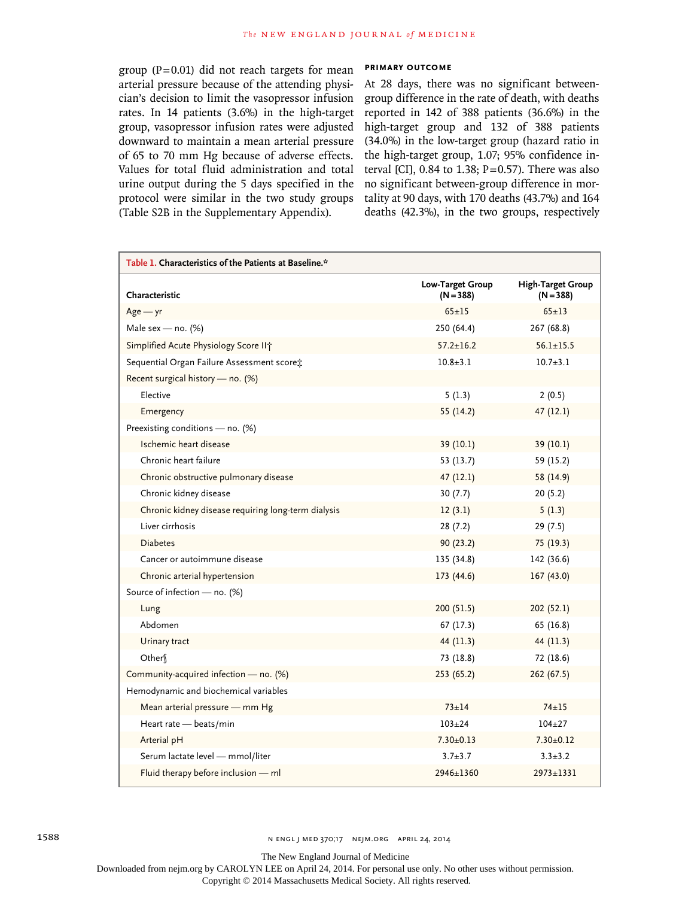group  $(P=0.01)$  did not reach targets for mean arterial pressure because of the attending physician's decision to limit the vasopressor infusion rates. In 14 patients (3.6%) in the high-target group, vasopressor infusion rates were adjusted downward to maintain a mean arterial pressure of 65 to 70 mm Hg because of adverse effects. Values for total fluid administration and total urine output during the 5 days specified in the protocol were similar in the two study groups (Table S2B in the Supplementary Appendix).

# **Primary Outcome**

At 28 days, there was no significant betweengroup difference in the rate of death, with deaths reported in 142 of 388 patients (36.6%) in the high-target group and 132 of 388 patients (34.0%) in the low-target group (hazard ratio in the high-target group, 1.07; 95% confidence interval [CI],  $0.84$  to 1.38; P=0.57). There was also no significant between-group difference in mortality at 90 days, with 170 deaths (43.7%) and 164 deaths (42.3%), in the two groups, respectively

| Table 1. Characteristics of the Patients at Baseline.* |                                        |                                         |  |  |
|--------------------------------------------------------|----------------------------------------|-----------------------------------------|--|--|
| Characteristic                                         | <b>Low-Target Group</b><br>$(N = 388)$ | <b>High-Target Group</b><br>$(N = 388)$ |  |  |
| $Age - yr$                                             | $65 + 15$                              | $65 + 13$                               |  |  |
| Male sex - no. $(%)$                                   | 250 (64.4)                             | 267 (68.8)                              |  |  |
| Simplified Acute Physiology Score II+                  | $57.2 \pm 16.2$                        | $56.1 \pm 15.5$                         |  |  |
| Sequential Organ Failure Assessment score:             | $10.8 + 3.1$                           | $10.7 + 3.1$                            |  |  |
| Recent surgical history - no. (%)                      |                                        |                                         |  |  |
| Elective                                               | 5(1.3)                                 | 2(0.5)                                  |  |  |
| Emergency                                              | 55 (14.2)                              | 47 (12.1)                               |  |  |
| Preexisting conditions - no. (%)                       |                                        |                                         |  |  |
| Ischemic heart disease                                 | 39 (10.1)                              | 39 (10.1)                               |  |  |
| Chronic heart failure                                  | 53(13.7)                               | 59 (15.2)                               |  |  |
| Chronic obstructive pulmonary disease                  | 47(12.1)                               | 58 (14.9)                               |  |  |
| Chronic kidney disease                                 | 30(7.7)                                | 20(5.2)                                 |  |  |
| Chronic kidney disease requiring long-term dialysis    | 12(3.1)                                | 5(1.3)                                  |  |  |
| Liver cirrhosis                                        | 28(7.2)                                | 29(7.5)                                 |  |  |
| <b>Diabetes</b>                                        | 90(23.2)                               | 75(19.3)                                |  |  |
| Cancer or autoimmune disease                           | 135 (34.8)                             | 142 (36.6)                              |  |  |
| Chronic arterial hypertension                          | 173 (44.6)                             | 167(43.0)                               |  |  |
| Source of infection - no. (%)                          |                                        |                                         |  |  |
| Lung                                                   | 200(51.5)                              | 202(52.1)                               |  |  |
| Abdomen                                                | 67(17.3)                               | 65 (16.8)                               |  |  |
| Urinary tract                                          | 44(11.3)                               | 44(11.3)                                |  |  |
| Other                                                  | 73 (18.8)                              | 72 (18.6)                               |  |  |
| Community-acquired infection - no. (%)                 | 253(65.2)                              | 262 (67.5)                              |  |  |
| Hemodynamic and biochemical variables                  |                                        |                                         |  |  |
| Mean arterial pressure - mm Hg                         | $73 + 14$                              | $74 + 15$                               |  |  |
| Heart rate - beats/min                                 | $103 + 24$                             | $104 + 27$                              |  |  |
| Arterial pH                                            | $7.30 \pm 0.13$                        | $7.30 \pm 0.12$                         |  |  |
| Serum lactate level - mmol/liter                       | $3.7 + 3.7$                            | $3.3 + 3.2$                             |  |  |
| Fluid therapy before inclusion - ml                    | 2946±1360                              | 2973±1331                               |  |  |

The New England Journal of Medicine

Downloaded from nejm.org by CAROLYN LEE on April 24, 2014. For personal use only. No other uses without permission.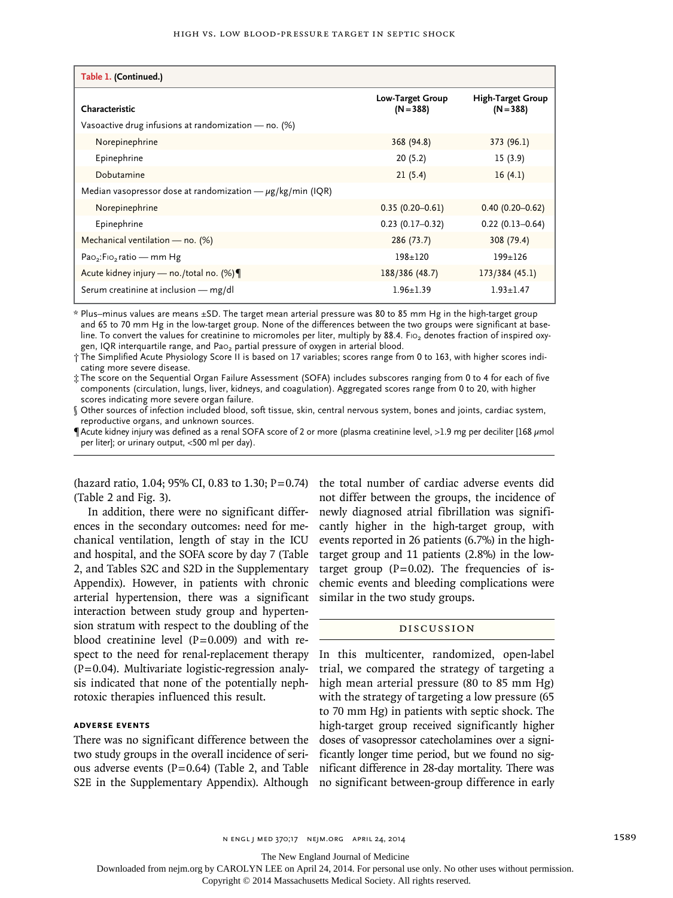| Table 1. (Continued.)                                          |                                        |                                         |  |  |
|----------------------------------------------------------------|----------------------------------------|-----------------------------------------|--|--|
| Characteristic                                                 | <b>Low-Target Group</b><br>$(N = 388)$ | <b>High-Target Group</b><br>$(N = 388)$ |  |  |
| Vasoactive drug infusions at randomization - no. (%)           |                                        |                                         |  |  |
| Norepinephrine                                                 | 368 (94.8)                             | 373 (96.1)                              |  |  |
| Epinephrine                                                    | 20(5.2)                                | 15(3.9)                                 |  |  |
| Dobutamine                                                     | 21(5.4)                                | 16(4.1)                                 |  |  |
| Median vasopressor dose at randomization $-\mu$ g/kg/min (IQR) |                                        |                                         |  |  |
| Norepinephrine                                                 | $0.35(0.20 - 0.61)$                    | $0.40(0.20 - 0.62)$                     |  |  |
| Epinephrine                                                    | $0.23(0.17-0.32)$                      | $0.22(0.13 - 0.64)$                     |  |  |
| Mechanical ventilation - no. (%)                               | 286(73.7)                              | 308 (79.4)                              |  |  |
| $Pao_2:FiO_2$ ratio — mm Hg                                    | $198 + 120$                            | $199+126$                               |  |  |
| Acute kidney injury — no./total no. (%)                        | 188/386 (48.7)                         | 173/384(45.1)                           |  |  |
| Serum creatinine at inclusion — mg/dl                          | $1.96 + 1.39$                          | $1.93 + 1.47$                           |  |  |

\* Plus–minus values are means ±SD. The target mean arterial pressure was 80 to 85 mm Hg in the high-target group and 65 to 70 mm Hg in the low-target group. None of the differences between the two groups were significant at baseline. To convert the values for creatinine to micromoles per liter, multiply by 88.4. Fio<sub>2</sub> denotes fraction of inspired oxygen, IQR interquartile range, and Pa $o_2$  partial pressure of oxygen in arterial blood.

† The Simplified Acute Physiology Score II is based on 17 variables; scores range from 0 to 163, with higher scores indicating more severe disease.

‡ The score on the Sequential Organ Failure Assessment (SOFA) includes subscores ranging from 0 to 4 for each of five components (circulation, lungs, liver, kidneys, and coagulation). Aggregated scores range from 0 to 20, with higher scores indicating more severe organ failure.

§ Other sources of infection included blood, soft tissue, skin, central nervous system, bones and joints, cardiac system, reproductive organs, and unknown sources.

¶Acute kidney injury was defined as a renal SOFA score of 2 or more (plasma creatinine level, >1.9 mg per deciliter [168 µmol per liter]; or urinary output, <500 ml per day).

(hazard ratio, 1.04; 95% CI, 0.83 to 1.30; P=0.74) (Table 2 and Fig. 3).

In addition, there were no significant differences in the secondary outcomes: need for mechanical ventilation, length of stay in the ICU and hospital, and the SOFA score by day 7 (Table 2, and Tables S2C and S2D in the Supplementary Appendix). However, in patients with chronic arterial hypertension, there was a significant interaction between study group and hypertension stratum with respect to the doubling of the blood creatinine level  $(P=0.009)$  and with respect to the need for renal-replacement therapy  $(P=0.04)$ . Multivariate logistic-regression analysis indicated that none of the potentially nephrotoxic therapies influenced this result.

## **Adverse Events**

There was no significant difference between the two study groups in the overall incidence of serious adverse events  $(P=0.64)$  (Table 2, and Table S2E in the Supplementary Appendix). Although no significant between-group difference in early

the total number of cardiac adverse events did not differ between the groups, the incidence of newly diagnosed atrial fibrillation was significantly higher in the high-target group, with events reported in 26 patients (6.7%) in the hightarget group and 11 patients (2.8%) in the lowtarget group  $(P=0.02)$ . The frequencies of ischemic events and bleeding complications were similar in the two study groups.

#### Discussion

In this multicenter, randomized, open-label trial, we compared the strategy of targeting a high mean arterial pressure (80 to 85 mm Hg) with the strategy of targeting a low pressure (65 to 70 mm Hg) in patients with septic shock. The high-target group received significantly higher doses of vasopressor catecholamines over a significantly longer time period, but we found no significant difference in 28-day mortality. There was

n engl j med 370;17 nejm.org april 24, 2014 1589

The New England Journal of Medicine

Downloaded from nejm.org by CAROLYN LEE on April 24, 2014. For personal use only. No other uses without permission.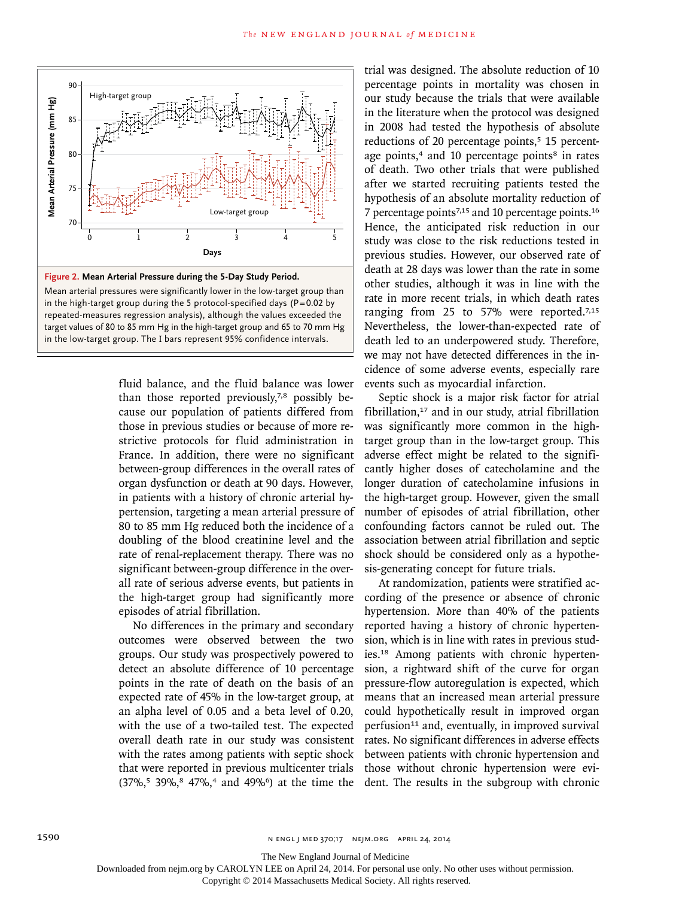

Mean arterial pressures were significantly lower in the low-target group than in the high-target group during the 5 protocol-specified days (P=0.02 by repeated-measures regression analysis), although the values exceeded the target values of 80 to 85 mm Hg in the high-target group and 65 to 70 mm Hg in the low-target group. The I bars represent 95% confidence intervals.

fluid balance, and the fluid balance was lower than those reported previously,<sup>7,8</sup> possibly because our population of patients differed from those in previous studies or because of more restrictive protocols for fluid administration in France. In addition, there were no significant between-group differences in the overall rates of organ dysfunction or death at 90 days. However, in patients with a history of chronic arterial hypertension, targeting a mean arterial pressure of 80 to 85 mm Hg reduced both the incidence of a doubling of the blood creatinine level and the rate of renal-replacement therapy. There was no significant between-group difference in the overall rate of serious adverse events, but patients in the high-target group had significantly more episodes of atrial fibrillation.

No differences in the primary and secondary outcomes were observed between the two groups. Our study was prospectively powered to detect an absolute difference of 10 percentage points in the rate of death on the basis of an expected rate of 45% in the low-target group, at an alpha level of 0.05 and a beta level of 0.20, with the use of a two-tailed test. The expected overall death rate in our study was consistent with the rates among patients with septic shock that were reported in previous multicenter trials

trial was designed. The absolute reduction of 10 percentage points in mortality was chosen in our study because the trials that were available in the literature when the protocol was designed in 2008 had tested the hypothesis of absolute reductions of 20 percentage points,<sup>5</sup> 15 percentage points, $4$  and 10 percentage points $8$  in rates of death. Two other trials that were published after we started recruiting patients tested the hypothesis of an absolute mortality reduction of 7 percentage points7,15 and 10 percentage points.<sup>16</sup> Hence, the anticipated risk reduction in our study was close to the risk reductions tested in previous studies. However, our observed rate of death at 28 days was lower than the rate in some other studies, although it was in line with the rate in more recent trials, in which death rates ranging from 25 to 57% were reported.<sup>7,15</sup> Nevertheless, the lower-than-expected rate of death led to an underpowered study. Therefore, we may not have detected differences in the incidence of some adverse events, especially rare events such as myocardial infarction.

Septic shock is a major risk factor for atrial fibrillation,17 and in our study, atrial fibrillation was significantly more common in the hightarget group than in the low-target group. This adverse effect might be related to the significantly higher doses of catecholamine and the longer duration of catecholamine infusions in the high-target group. However, given the small number of episodes of atrial fibrillation, other confounding factors cannot be ruled out. The association between atrial fibrillation and septic shock should be considered only as a hypothesis-generating concept for future trials.

 $(37\%, 5\,39\%, 8\,47\%, 4\,$  and  $49\%$ <sup>6</sup>) at the time the dent. The results in the subgroup with chronic At randomization, patients were stratified according of the presence or absence of chronic hypertension. More than 40% of the patients reported having a history of chronic hypertension, which is in line with rates in previous studies.18 Among patients with chronic hypertension, a rightward shift of the curve for organ pressure-flow autoregulation is expected, which means that an increased mean arterial pressure could hypothetically result in improved organ perfusion<sup>11</sup> and, eventually, in improved survival rates. No significant differences in adverse effects between patients with chronic hypertension and those without chronic hypertension were evi-

The New England Journal of Medicine

Downloaded from nejm.org by CAROLYN LEE on April 24, 2014. For personal use only. No other uses without permission.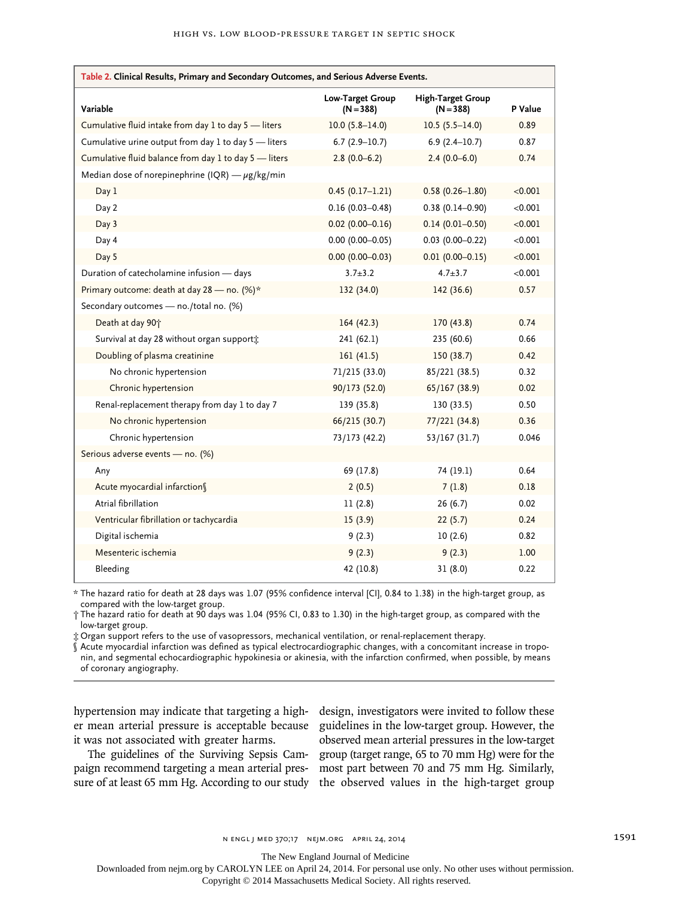| Table 2. Clinical Results, Primary and Secondary Outcomes, and Serious Adverse Events. |                                 |                                         |         |  |  |
|----------------------------------------------------------------------------------------|---------------------------------|-----------------------------------------|---------|--|--|
| Variable                                                                               | Low-Target Group<br>$(N = 388)$ | <b>High-Target Group</b><br>$(N = 388)$ | P Value |  |  |
| Cumulative fluid intake from day 1 to day 5 - liters                                   | $10.0(5.8 - 14.0)$              | $10.5(5.5-14.0)$                        | 0.89    |  |  |
| Cumulative urine output from day 1 to day 5 - liters                                   | $6.7(2.9-10.7)$                 | $6.9(2.4-10.7)$                         | 0.87    |  |  |
| Cumulative fluid balance from day 1 to day 5 - liters                                  | $2.8(0.0-6.2)$                  | $2.4(0.0-6.0)$                          | 0.74    |  |  |
| Median dose of norepinephrine (IQR) $-\mu$ g/kg/min                                    |                                 |                                         |         |  |  |
| Day 1                                                                                  | $0.45(0.17-1.21)$               | $0.58(0.26 - 1.80)$                     | < 0.001 |  |  |
| Day 2                                                                                  | $0.16(0.03 - 0.48)$             | $0.38(0.14 - 0.90)$                     | < 0.001 |  |  |
| Day 3                                                                                  | $0.02$ (0.00-0.16)              | $0.14(0.01 - 0.50)$                     | < 0.001 |  |  |
| Day 4                                                                                  | $0.00$ (0.00-0.05)              | $0.03$ (0.00-0.22)                      | < 0.001 |  |  |
| Day 5                                                                                  | $0.00(0.00 - 0.03)$             | $0.01(0.00 - 0.15)$                     | < 0.001 |  |  |
| Duration of catecholamine infusion - days                                              | $3.7 + 3.2$                     | $4.7 \pm 3.7$                           | < 0.001 |  |  |
| Primary outcome: death at day 28 - no. (%)*                                            | 132 (34.0)                      | 142(36.6)                               | 0.57    |  |  |
| Secondary outcomes - no./total no. (%)                                                 |                                 |                                         |         |  |  |
| Death at day 90 <sup>+</sup>                                                           | 164(42.3)                       | 170 (43.8)                              | 0.74    |  |  |
| Survival at day 28 without organ support <sup>+</sup>                                  | 241(62.1)                       | 235 (60.6)                              | 0.66    |  |  |
| Doubling of plasma creatinine                                                          | 161(41.5)                       | 150 (38.7)                              | 0.42    |  |  |
| No chronic hypertension                                                                | 71/215 (33.0)                   | 85/221 (38.5)                           | 0.32    |  |  |
| Chronic hypertension                                                                   | 90/173 (52.0)                   | 65/167 (38.9)                           | 0.02    |  |  |
| Renal-replacement therapy from day 1 to day 7                                          | 139 (35.8)                      | 130(33.5)                               | 0.50    |  |  |
| No chronic hypertension                                                                | 66/215 (30.7)                   | 77/221 (34.8)                           | 0.36    |  |  |
| Chronic hypertension                                                                   | 73/173 (42.2)                   | 53/167 (31.7)                           | 0.046   |  |  |
| Serious adverse events - no. (%)                                                       |                                 |                                         |         |  |  |
| Any                                                                                    | 69 (17.8)                       | 74 (19.1)                               | 0.64    |  |  |
| Acute myocardial infarction§                                                           | 2(0.5)                          | 7(1.8)                                  | 0.18    |  |  |
| Atrial fibrillation                                                                    | 11(2.8)                         | 26(6.7)                                 | 0.02    |  |  |
| Ventricular fibrillation or tachycardia                                                | 15(3.9)                         | 22(5.7)                                 | 0.24    |  |  |
| Digital ischemia                                                                       | 9(2.3)                          | 10(2.6)                                 | 0.82    |  |  |
| Mesenteric ischemia                                                                    | 9(2.3)                          | 9(2.3)                                  | 1.00    |  |  |
| Bleeding                                                                               | 42 (10.8)                       | 31(8.0)                                 | 0.22    |  |  |

\* The hazard ratio for death at 28 days was 1.07 (95% confidence interval [CI], 0.84 to 1.38) in the high-target group, as compared with the low-target group.

† The hazard ratio for death at 90 days was 1.04 (95% CI, 0.83 to 1.30) in the high-target group, as compared with the low-target group.

‡ Organ support refers to the use of vasopressors, mechanical ventilation, or renal-replacement therapy.

Acute myocardial infarction was defined as typical electrocardiographic changes, with a concomitant increase in troponin, and segmental echocardiographic hypokinesia or akinesia, with the infarction confirmed, when possible, by means of coronary angiography.

hypertension may indicate that targeting a higher mean arterial pressure is acceptable because it was not associated with greater harms.

The guidelines of the Surviving Sepsis Campaign recommend targeting a mean arterial pres-

sure of at least 65 mm Hg. According to our study the observed values in the high-target group design, investigators were invited to follow these guidelines in the low-target group. However, the observed mean arterial pressures in the low-target group (target range, 65 to 70 mm Hg) were for the most part between 70 and 75 mm Hg. Similarly,

n engl j med 370;17 nejm.org april 24, 2014 1591

The New England Journal of Medicine

Downloaded from nejm.org by CAROLYN LEE on April 24, 2014. For personal use only. No other uses without permission.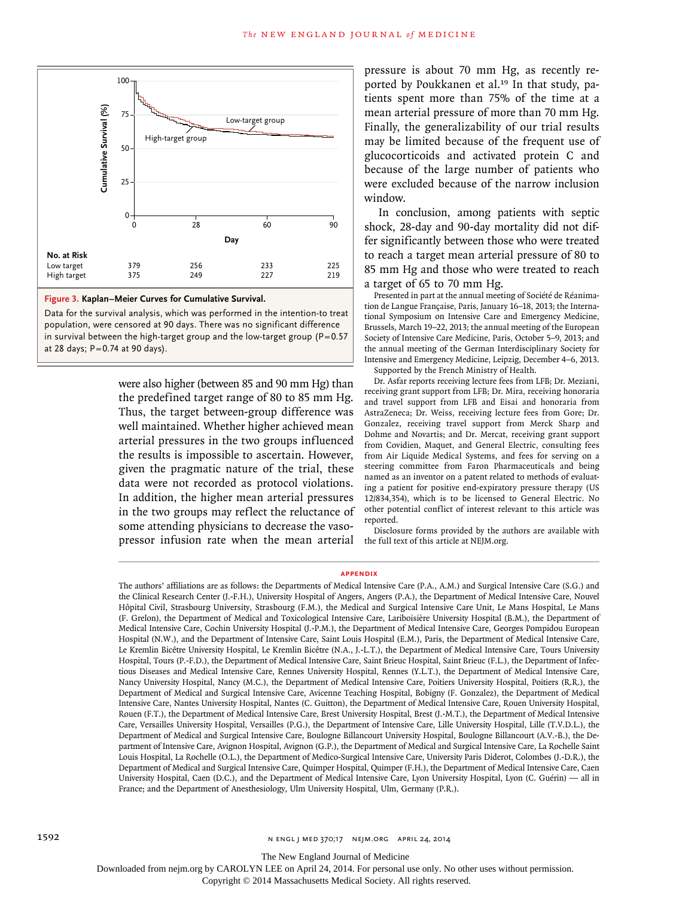



Data for the survival analysis, which was performed in the intention-to treat population, were censored at 90 days. There was no significant difference in survival between the high-target group and the low-target group (P=0.57 at 28 days; P=0.74 at 90 days).

> were also higher (between 85 and 90 mm Hg) than the predefined target range of 80 to 85 mm Hg. Thus, the target between-group difference was well maintained. Whether higher achieved mean arterial pressures in the two groups influenced the results is impossible to ascertain. However, given the pragmatic nature of the trial, these data were not recorded as protocol violations. In addition, the higher mean arterial pressures in the two groups may reflect the reluctance of some attending physicians to decrease the vasopressor infusion rate when the mean arterial

pressure is about 70 mm Hg, as recently reported by Poukkanen et al.<sup>19</sup> In that study, patients spent more than 75% of the time at a mean arterial pressure of more than 70 mm Hg. Finally, the generalizability of our trial results may be limited because of the frequent use of glucocorticoids and activated protein C and because of the large number of patients who were excluded because of the narrow inclusion window.

In conclusion, among patients with septic shock, 28-day and 90-day mortality did not differ significantly between those who were treated to reach a target mean arterial pressure of 80 to 85 mm Hg and those who were treated to reach a target of 65 to 70 mm Hg.

Presented in part at the annual meeting of Société de Réanimation de Langue Française, Paris, January 16–18, 2013; the International Symposium on Intensive Care and Emergency Medicine, Brussels, March 19–22, 2013; the annual meeting of the European Society of Intensive Care Medicine, Paris, October 5–9, 2013; and the annual meeting of the German Interdisciplinary Society for Intensive and Emergency Medicine, Leipzig, December 4–6, 2013. Supported by the French Ministry of Health.

Dr. Asfar reports receiving lecture fees from LFB; Dr. Meziani, receiving grant support from LFB; Dr. Mira, receiving honoraria and travel support from LFB and Eisai and honoraria from AstraZeneca; Dr. Weiss, receiving lecture fees from Gore; Dr. Gonzalez, receiving travel support from Merck Sharp and Dohme and Novartis; and Dr. Mercat, receiving grant support from Covidien, Maquet, and General Electric, consulting fees from Air Liquide Medical Systems, and fees for serving on a steering committee from Faron Pharmaceuticals and being named as an inventor on a patent related to methods of evaluating a patient for positive end-expiratory pressure therapy (US 12/834,354), which is to be licensed to General Electric. No other potential conflict of interest relevant to this article was reported.

Disclosure forms provided by the authors are available with the full text of this article at NEJM.org.

#### **Appendix**

The authors' affiliations are as follows: the Departments of Medical Intensive Care (P.A., A.M.) and Surgical Intensive Care (S.G.) and the Clinical Research Center (J.-F.H.), University Hospital of Angers, Angers (P.A.), the Department of Medical Intensive Care, Nouvel Hôpital Civil, Strasbourg University, Strasbourg (F.M.), the Medical and Surgical Intensive Care Unit, Le Mans Hospital, Le Mans (F. Grelon), the Department of Medical and Toxicological Intensive Care, Lariboisière University Hospital (B.M.), the Department of Medical Intensive Care, Cochin University Hospital (J.-P.M.), the Department of Medical Intensive Care, Georges Pompidou European Hospital (N.W.), and the Department of Intensive Care, Saint Louis Hospital (E.M.), Paris, the Department of Medical Intensive Care, Le Kremlin Bicêtre University Hospital, Le Kremlin Bicêtre (N.A., J.-L.T.), the Department of Medical Intensive Care, Tours University Hospital, Tours (P.-F.D.), the Department of Medical Intensive Care, Saint Brieuc Hospital, Saint Brieuc (F.L.), the Department of Infectious Diseases and Medical Intensive Care, Rennes University Hospital, Rennes (Y.L.T.), the Department of Medical Intensive Care, Nancy University Hospital, Nancy (M.C.), the Department of Medical Intensive Care, Poitiers University Hospital, Poitiers (R.R.), the Department of Medical and Surgical Intensive Care, Avicenne Teaching Hospital, Bobigny (F. Gonzalez), the Department of Medical Intensive Care, Nantes University Hospital, Nantes (C. Guitton), the Department of Medical Intensive Care, Rouen University Hospital, Rouen (F.T.), the Department of Medical Intensive Care, Brest University Hospital, Brest (J.-M.T.), the Department of Medical Intensive Care, Versailles University Hospital, Versailles (P.G.), the Department of Intensive Care, Lille University Hospital, Lille (T.V.D.L.), the Department of Medical and Surgical Intensive Care, Boulogne Billancourt University Hospital, Boulogne Billancourt (A.V.-B.), the Department of Intensive Care, Avignon Hospital, Avignon (G.P.), the Department of Medical and Surgical Intensive Care, La Rochelle Saint Louis Hospital, La Rochelle (O.L.), the Department of Medico-Surgical Intensive Care, University Paris Diderot, Colombes (J.-D.R.), the Department of Medical and Surgical Intensive Care, Quimper Hospital, Quimper (F.H.), the Department of Medical Intensive Care, Caen University Hospital, Caen (D.C.), and the Department of Medical Intensive Care, Lyon University Hospital, Lyon (C. Guérin) — all in France; and the Department of Anesthesiology, Ulm University Hospital, Ulm, Germany (P.R.).

The New England Journal of Medicine

Downloaded from nejm.org by CAROLYN LEE on April 24, 2014. For personal use only. No other uses without permission.